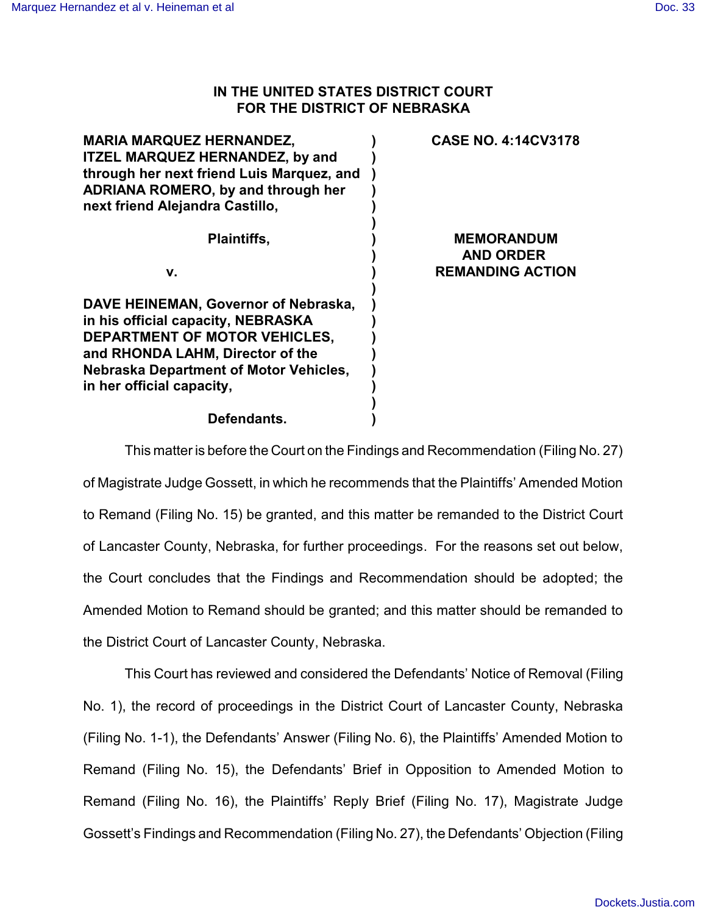## **IN THE UNITED STATES DISTRICT COURT FOR THE DISTRICT OF NEBRASKA**

| <b>MARIA MARQUEZ HERNANDEZ,</b><br><b>ITZEL MARQUEZ HERNANDEZ, by and</b><br>through her next friend Luis Marquez, and<br><b>ADRIANA ROMERO, by and through her</b><br>next friend Alejandra Castillo,                        | <b>CASE NO. 4:14CV3178</b>                                       |
|-------------------------------------------------------------------------------------------------------------------------------------------------------------------------------------------------------------------------------|------------------------------------------------------------------|
| <b>Plaintiffs,</b>                                                                                                                                                                                                            | <b>MEMORANDUM</b><br><b>AND ORDER</b><br><b>REMANDING ACTION</b> |
| v.                                                                                                                                                                                                                            |                                                                  |
| DAVE HEINEMAN, Governor of Nebraska,<br>in his official capacity, NEBRASKA<br>DEPARTMENT OF MOTOR VEHICLES,<br>and RHONDA LAHM, Director of the<br><b>Nebraska Department of Motor Vehicles,</b><br>in her official capacity, |                                                                  |
| Defendants.                                                                                                                                                                                                                   |                                                                  |

This matter is before the Court on the Findings and Recommendation (Filing No. 27) of Magistrate Judge Gossett, in which he recommends that the Plaintiffs' Amended Motion to Remand (Filing No. 15) be granted, and this matter be remanded to the District Court of Lancaster County, Nebraska, for further proceedings. For the reasons set out below, the Court concludes that the Findings and Recommendation should be adopted; the Amended Motion to Remand should be granted; and this matter should be remanded to the District Court of Lancaster County, Nebraska.

This Court has reviewed and considered the Defendants' Notice of Removal (Filing No. 1), the record of proceedings in the District Court of Lancaster County, Nebraska (Filing No. 1-1), the Defendants' Answer (Filing No. 6), the Plaintiffs' Amended Motion to Remand (Filing No. 15), the Defendants' Brief in Opposition to Amended Motion to Remand (Filing No. 16), the Plaintiffs' Reply Brief (Filing No. 17), Magistrate Judge Gossett's Findings and Recommendation (Filing No. 27), the Defendants' Objection (Filing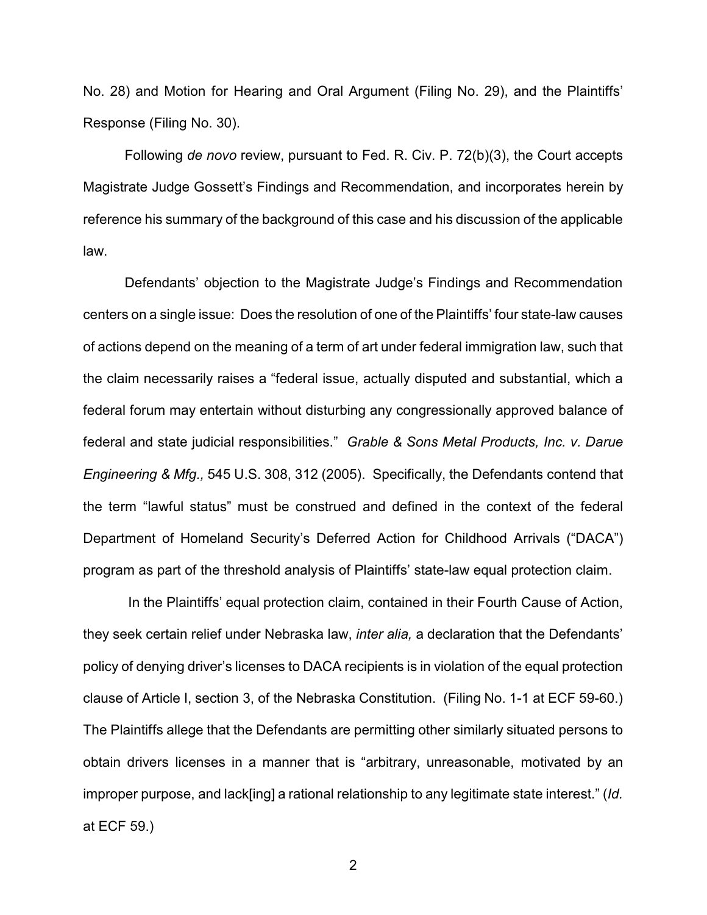No. 28) and Motion for Hearing and Oral Argument (Filing No. 29), and the Plaintiffs' Response (Filing No. 30).

Following *de novo* review, pursuant to Fed. R. Civ. P. 72(b)(3), the Court accepts Magistrate Judge Gossett's Findings and Recommendation, and incorporates herein by reference his summary of the background of this case and his discussion of the applicable law.

Defendants' objection to the Magistrate Judge's Findings and Recommendation centers on a single issue: Does the resolution of one of the Plaintiffs' four state-law causes of actions depend on the meaning of a term of art under federal immigration law, such that the claim necessarily raises a "federal issue, actually disputed and substantial, which a federal forum may entertain without disturbing any congressionally approved balance of federal and state judicial responsibilities." *Grable & Sons Metal Products, Inc. v. Darue Engineering & Mfg.,* 545 U.S. 308, 312 (2005). Specifically, the Defendants contend that the term "lawful status" must be construed and defined in the context of the federal Department of Homeland Security's Deferred Action for Childhood Arrivals ("DACA") program as part of the threshold analysis of Plaintiffs' state-law equal protection claim.

In the Plaintiffs' equal protection claim, contained in their Fourth Cause of Action, they seek certain relief under Nebraska law, *inter alia,* a declaration that the Defendants' policy of denying driver's licenses to DACA recipients is in violation of the equal protection clause of Article I, section 3, of the Nebraska Constitution. (Filing No. 1-1 at ECF 59-60.) The Plaintiffs allege that the Defendants are permitting other similarly situated persons to obtain drivers licenses in a manner that is "arbitrary, unreasonable, motivated by an improper purpose, and lack[ing] a rational relationship to any legitimate state interest." (*Id.* at ECF 59.)

2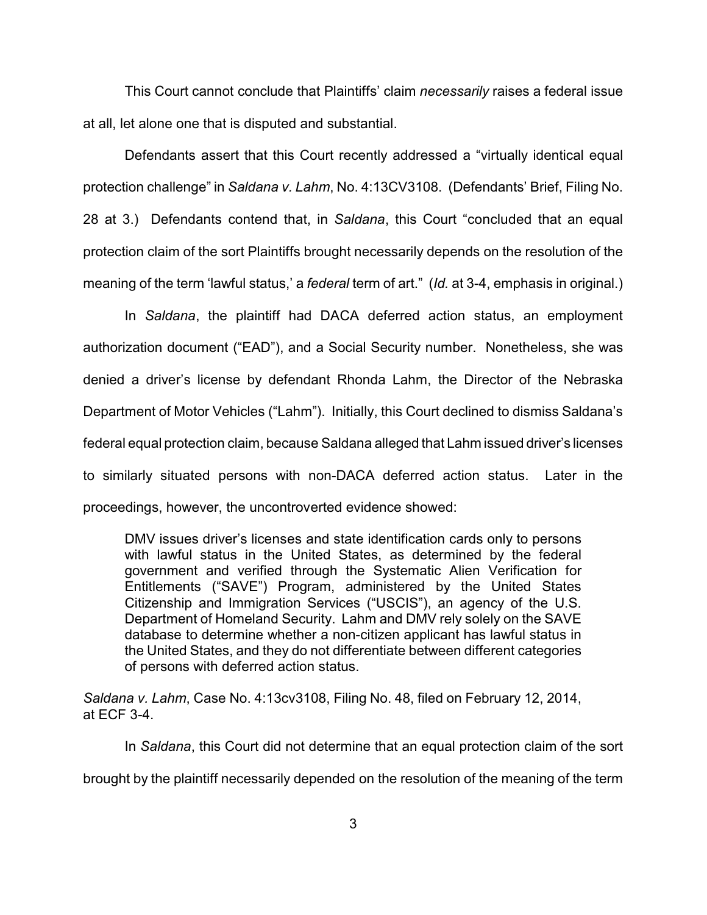This Court cannot conclude that Plaintiffs' claim *necessarily* raises a federal issue at all, let alone one that is disputed and substantial.

Defendants assert that this Court recently addressed a "virtually identical equal protection challenge" in *Saldana v. Lahm*, No. 4:13CV3108. (Defendants' Brief, Filing No. 28 at 3.) Defendants contend that, in *Saldana*, this Court "concluded that an equal protection claim of the sort Plaintiffs brought necessarily depends on the resolution of the meaning of the term 'lawful status,' a *federal* term of art." (*Id.* at 3-4, emphasis in original.)

In *Saldana*, the plaintiff had DACA deferred action status, an employment authorization document ("EAD"), and a Social Security number. Nonetheless, she was denied a driver's license by defendant Rhonda Lahm, the Director of the Nebraska Department of Motor Vehicles ("Lahm"). Initially, this Court declined to dismiss Saldana's federal equal protection claim, because Saldana alleged that Lahm issued driver's licenses to similarly situated persons with non-DACA deferred action status. Later in the proceedings, however, the uncontroverted evidence showed:

DMV issues driver's licenses and state identification cards only to persons with lawful status in the United States, as determined by the federal government and verified through the Systematic Alien Verification for Entitlements ("SAVE") Program, administered by the United States Citizenship and Immigration Services ("USCIS"), an agency of the U.S. Department of Homeland Security. Lahm and DMV rely solely on the SAVE database to determine whether a non-citizen applicant has lawful status in the United States, and they do not differentiate between different categories of persons with deferred action status.

*Saldana v. Lahm*, Case No. 4:13cv3108, Filing No. 48, filed on February 12, 2014, at ECF 3-4.

In *Saldana*, this Court did not determine that an equal protection claim of the sort brought by the plaintiff necessarily depended on the resolution of the meaning of the term